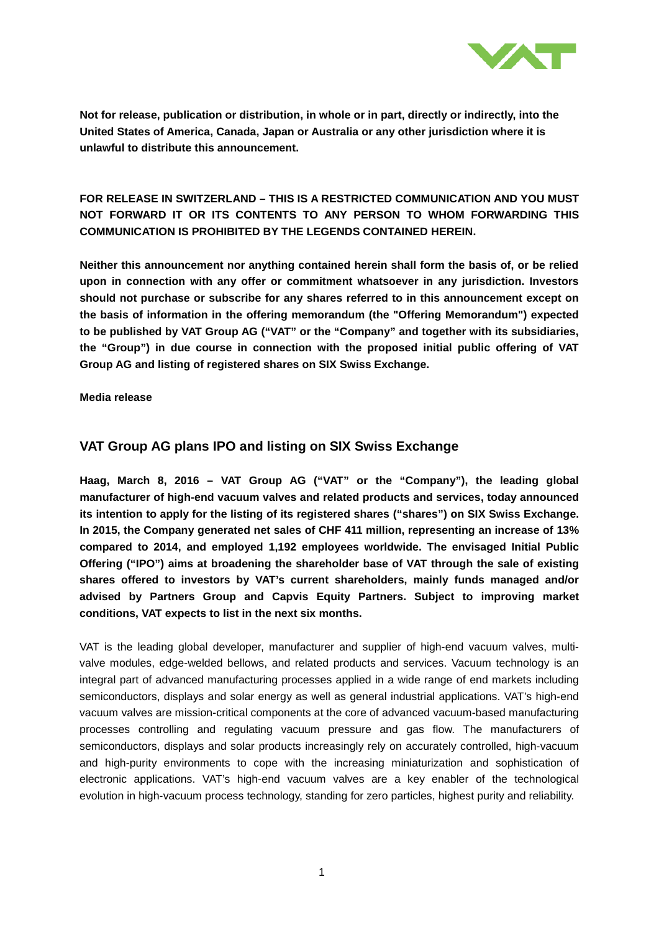

# **FOR RELEASE IN SWITZERLAND – THIS IS A RESTRICTED COMMUNICATION AND YOU MUST NOT FORWARD IT OR ITS CONTENTS TO ANY PERSON TO WHOM FORWARDING THIS COMMUNICATION IS PROHIBITED BY THE LEGENDS CONTAINED HEREIN.**

**Neither this announcement nor anything contained herein shall form the basis of, or be relied upon in connection with any offer or commitment whatsoever in any jurisdiction. Investors should not purchase or subscribe for any shares referred to in this announcement except on the basis of information in the offering memorandum (the "Offering Memorandum") expected to be published by VAT Group AG ("VAT" or the "Company" and together with its subsidiaries, the "Group") in due course in connection with the proposed initial public offering of VAT Group AG and listing of registered shares on SIX Swiss Exchange.**

**Media release**

### **VAT Group AG plans IPO and listing on SIX Swiss Exchange**

**Haag, March 8, 2016 – VAT Group AG ("VAT" or the "Company"), the leading global manufacturer of high-end vacuum valves and related products and services, today announced its intention to apply for the listing of its registered shares ("shares") on SIX Swiss Exchange. In 2015, the Company generated net sales of CHF 411 million, representing an increase of 13% compared to 2014, and employed 1,192 employees worldwide. The envisaged Initial Public Offering ("IPO") aims at broadening the shareholder base of VAT through the sale of existing shares offered to investors by VAT's current shareholders, mainly funds managed and/or advised by Partners Group and Capvis Equity Partners. Subject to improving market conditions, VAT expects to list in the next six months.** 

VAT is the leading global developer, manufacturer and supplier of high-end vacuum valves, multivalve modules, edge-welded bellows, and related products and services. Vacuum technology is an integral part of advanced manufacturing processes applied in a wide range of end markets including semiconductors, displays and solar energy as well as general industrial applications. VAT's high-end vacuum valves are mission-critical components at the core of advanced vacuum-based manufacturing processes controlling and regulating vacuum pressure and gas flow. The manufacturers of semiconductors, displays and solar products increasingly rely on accurately controlled, high-vacuum and high-purity environments to cope with the increasing miniaturization and sophistication of electronic applications. VAT's high-end vacuum valves are a key enabler of the technological evolution in high-vacuum process technology, standing for zero particles, highest purity and reliability.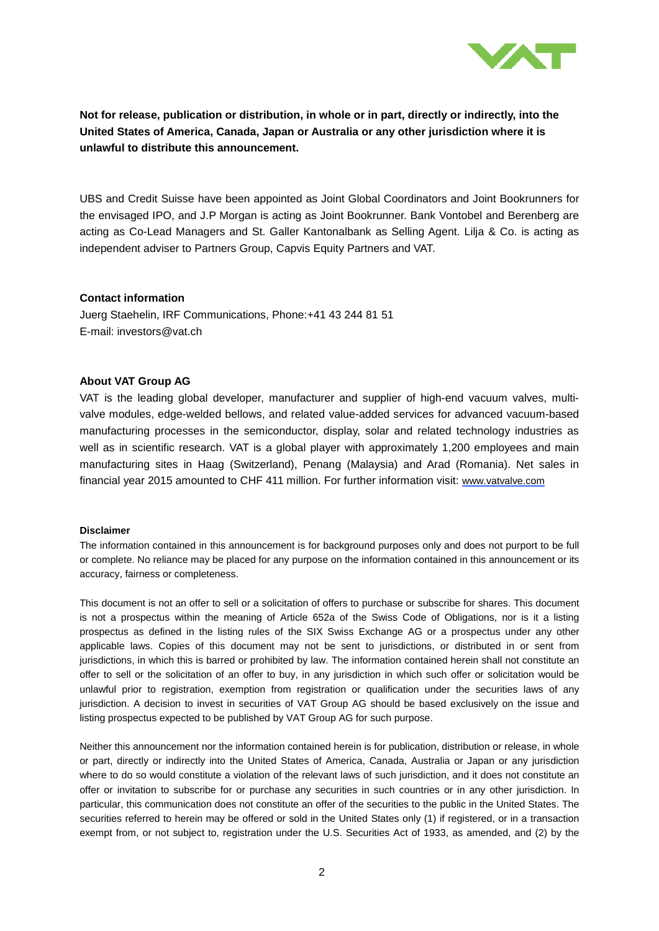

UBS and Credit Suisse have been appointed as Joint Global Coordinators and Joint Bookrunners for the envisaged IPO, and J.P Morgan is acting as Joint Bookrunner. Bank Vontobel and Berenberg are acting as Co-Lead Managers and St. Galler Kantonalbank as Selling Agent. Lilja & Co. is acting as independent adviser to Partners Group, Capvis Equity Partners and VAT.

### **Contact information**

Juerg Staehelin, IRF Communications, Phone:+41 43 244 81 51 E-mail: investors@vat.ch

### **About VAT Group AG**

VAT is the leading global developer, manufacturer and supplier of high-end vacuum valves, multivalve modules, edge-welded bellows, and related value-added services for advanced vacuum-based manufacturing processes in the semiconductor, display, solar and related technology industries as well as in scientific research. VAT is a global player with approximately 1,200 employees and main manufacturing sites in Haag (Switzerland), Penang (Malaysia) and Arad (Romania). Net sales in financial year 2015 amounted to CHF 411 million. For further information visit: [www.vatvalve.com](http://www.vatvalve.com/)

#### **Disclaimer**

The information contained in this announcement is for background purposes only and does not purport to be full or complete. No reliance may be placed for any purpose on the information contained in this announcement or its accuracy, fairness or completeness.

This document is not an offer to sell or a solicitation of offers to purchase or subscribe for shares. This document is not a prospectus within the meaning of Article 652a of the Swiss Code of Obligations, nor is it a listing prospectus as defined in the listing rules of the SIX Swiss Exchange AG or a prospectus under any other applicable laws. Copies of this document may not be sent to jurisdictions, or distributed in or sent from jurisdictions, in which this is barred or prohibited by law. The information contained herein shall not constitute an offer to sell or the solicitation of an offer to buy, in any jurisdiction in which such offer or solicitation would be unlawful prior to registration, exemption from registration or qualification under the securities laws of any jurisdiction. A decision to invest in securities of VAT Group AG should be based exclusively on the issue and listing prospectus expected to be published by VAT Group AG for such purpose.

Neither this announcement nor the information contained herein is for publication, distribution or release, in whole or part, directly or indirectly into the United States of America, Canada, Australia or Japan or any jurisdiction where to do so would constitute a violation of the relevant laws of such jurisdiction, and it does not constitute an offer or invitation to subscribe for or purchase any securities in such countries or in any other jurisdiction. In particular, this communication does not constitute an offer of the securities to the public in the United States. The securities referred to herein may be offered or sold in the United States only (1) if registered, or in a transaction exempt from, or not subject to, registration under the U.S. Securities Act of 1933, as amended, and (2) by the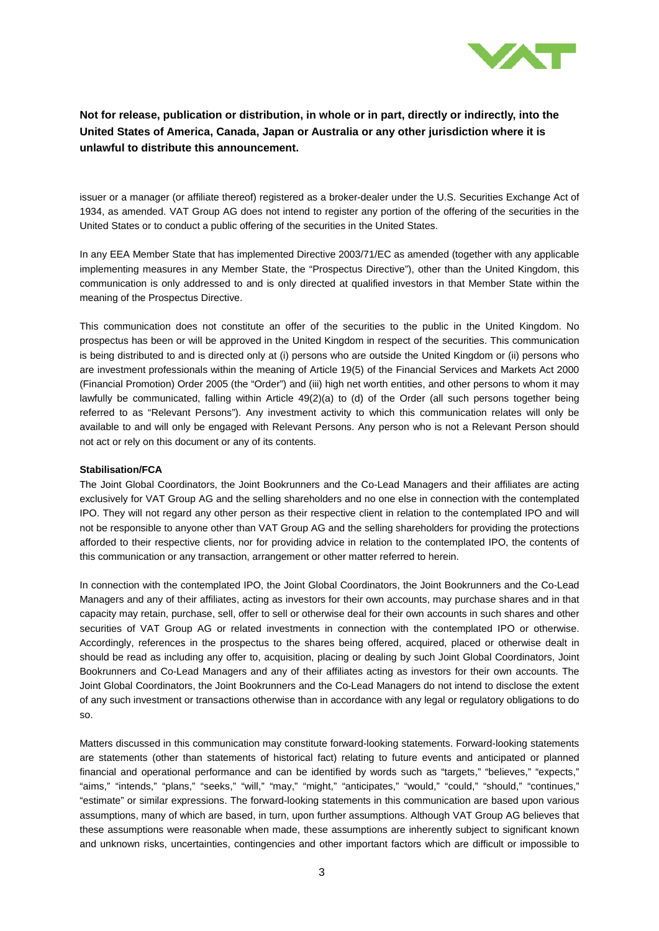

issuer or a manager (or affiliate thereof) registered as a broker-dealer under the U.S. Securities Exchange Act of 1934, as amended. VAT Group AG does not intend to register any portion of the offering of the securities in the United States or to conduct a public offering of the securities in the United States.

In any EEA Member State that has implemented Directive 2003/71/EC as amended (together with any applicable implementing measures in any Member State, the "Prospectus Directive"), other than the United Kingdom, this communication is only addressed to and is only directed at qualified investors in that Member State within the meaning of the Prospectus Directive.

This communication does not constitute an offer of the securities to the public in the United Kingdom. No prospectus has been or will be approved in the United Kingdom in respect of the securities. This communication is being distributed to and is directed only at (i) persons who are outside the United Kingdom or (ii) persons who are investment professionals within the meaning of Article 19(5) of the Financial Services and Markets Act 2000 (Financial Promotion) Order 2005 (the "Order") and (iii) high net worth entities, and other persons to whom it may lawfully be communicated, falling within Article 49(2)(a) to (d) of the Order (all such persons together being referred to as "Relevant Persons"). Any investment activity to which this communication relates will only be available to and will only be engaged with Relevant Persons. Any person who is not a Relevant Person should not act or rely on this document or any of its contents.

#### **Stabilisation/FCA**

The Joint Global Coordinators, the Joint Bookrunners and the Co-Lead Managers and their affiliates are acting exclusively for VAT Group AG and the selling shareholders and no one else in connection with the contemplated IPO. They will not regard any other person as their respective client in relation to the contemplated IPO and will not be responsible to anyone other than VAT Group AG and the selling shareholders for providing the protections afforded to their respective clients, nor for providing advice in relation to the contemplated IPO, the contents of this communication or any transaction, arrangement or other matter referred to herein.

In connection with the contemplated IPO, the Joint Global Coordinators, the Joint Bookrunners and the Co-Lead Managers and any of their affiliates, acting as investors for their own accounts, may purchase shares and in that capacity may retain, purchase, sell, offer to sell or otherwise deal for their own accounts in such shares and other securities of VAT Group AG or related investments in connection with the contemplated IPO or otherwise. Accordingly, references in the prospectus to the shares being offered, acquired, placed or otherwise dealt in should be read as including any offer to, acquisition, placing or dealing by such Joint Global Coordinators, Joint Bookrunners and Co-Lead Managers and any of their affiliates acting as investors for their own accounts. The Joint Global Coordinators, the Joint Bookrunners and the Co-Lead Managers do not intend to disclose the extent of any such investment or transactions otherwise than in accordance with any legal or regulatory obligations to do so.

Matters discussed in this communication may constitute forward-looking statements. Forward-looking statements are statements (other than statements of historical fact) relating to future events and anticipated or planned financial and operational performance and can be identified by words such as "targets," "believes," "expects," "aims," "intends," "plans," "seeks," "will," "may," "might," "anticipates," "would," "could," "should," "continues," "estimate" or similar expressions. The forward-looking statements in this communication are based upon various assumptions, many of which are based, in turn, upon further assumptions. Although VAT Group AG believes that these assumptions were reasonable when made, these assumptions are inherently subject to significant known and unknown risks, uncertainties, contingencies and other important factors which are difficult or impossible to